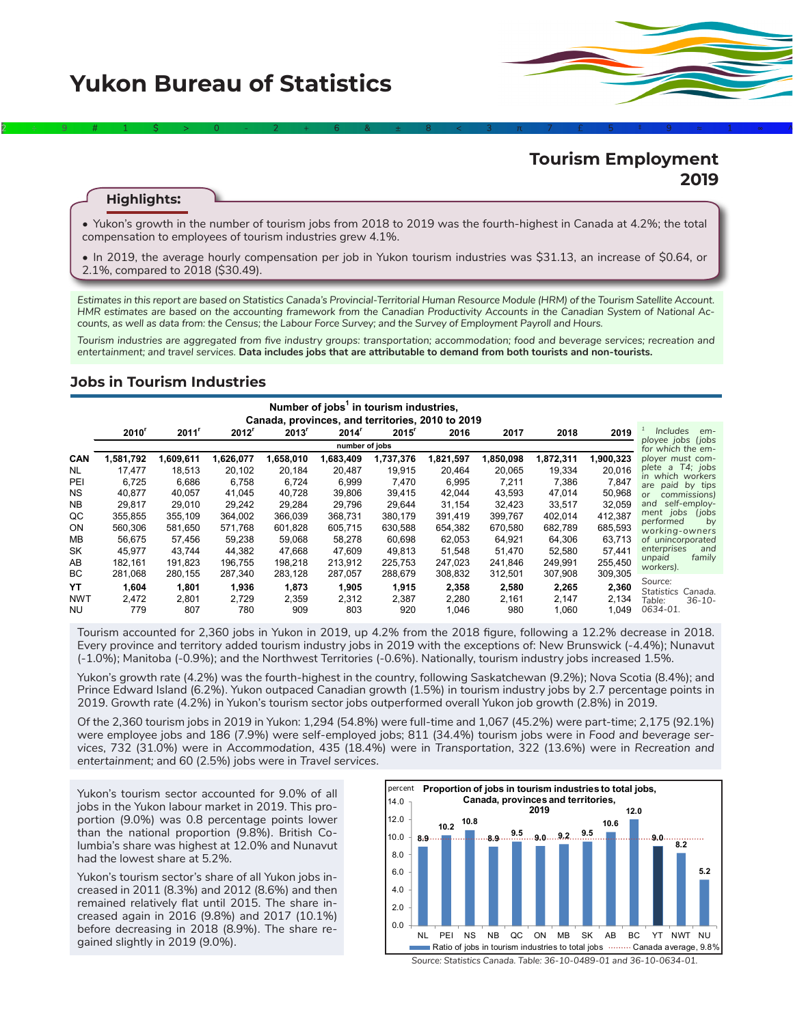

# **Tourism Employment 2019**

#### **Highlights:**

• Yukon's growth in the number of tourism jobs from 2018 to 2019 was the fourth-highest in Canada at 4.2%; the total compensation to employees of tourism industries grew 4.1%.

2÷9#1\$>0-2+6&±8<3π7£5‡9≈1∞^

• In 2019, the average hourly compensation per job in Yukon tourism industries was \$31.13, an increase of \$0.64, or 2.1%, compared to 2018 (\$30.49).

*Estimates in this report are based on Statistics Canada's Provincial-Territorial Human Resource Module (HRM) of the Tourism Satellite Account. HMR estimates are based on the accounting framework from the Canadian Productivity Accounts in the Canadian System of National Accounts, as well as data from: the Census; the Labour Force Survey; and the Survey of Employment Payroll and Hours.*

*Tourism industries are aggregated from five industry groups: transportation; accommodation; food and beverage services; recreation and entertainment; and travel services.* **Data includes jobs that are attributable to demand from both tourists and non-tourists.**

#### **Jobs in Tourism Industries**

| Number of jobs <sup>1</sup> in tourism industries, |                                                  |           |                   |                     |                   |           |           |           |           |           |                                        |
|----------------------------------------------------|--------------------------------------------------|-----------|-------------------|---------------------|-------------------|-----------|-----------|-----------|-----------|-----------|----------------------------------------|
|                                                    | Canada, provinces, and territories, 2010 to 2019 |           |                   |                     |                   |           |           |           |           |           |                                        |
|                                                    | $2010^r$                                         | $2011^r$  | 2012 <sup>r</sup> | $2013$ <sup>r</sup> | 2014 <sup>r</sup> | 2015      | 2016      | 2017      | 2018      | 2019      | <i><u><b>Includes</b></u></i><br>em-   |
|                                                    | number of jobs                                   |           |                   |                     |                   |           |           |           |           |           | ployee jobs (jobs<br>for which the em- |
| <b>CAN</b>                                         | 1,581,792                                        | 1,609,611 | 1,626,077         | 1,658,010           | 1,683,409         | 1,737,376 | 1,821,597 | 1,850,098 | 1,872,311 | 1,900,323 | ployer must com-                       |
| <b>NL</b>                                          | 17,477                                           | 18.513    | 20.102            | 20.184              | 20.487            | 19.915    | 20.464    | 20,065    | 19,334    | 20.016    | plete a T4; jobs                       |
| PEI                                                | 6.725                                            | 6.686     | 6.758             | 6,724               | 6.999             | 7,470     | 6,995     | 7,211     | 7,386     | 7,847     | in which workers<br>are paid by tips   |
| <b>NS</b>                                          | 40,877                                           | 40.057    | 41.045            | 40.728              | 39.806            | 39.415    | 42,044    | 43,593    | 47,014    | 50,968    | commissions)<br>or                     |
| <b>NB</b>                                          | 29,817                                           | 29,010    | 29,242            | 29,284              | 29,796            | 29,644    | 31,154    | 32,423    | 33,517    | 32,059    | self-emplov-<br>and                    |
| QC                                                 | 355.855                                          | 355,109   | 364.002           | 366.039             | 368.731           | 380.179   | 391.419   | 399,767   | 402,014   | 412,387   | ment jobs<br>(jobs)<br>performed<br>by |
| ON                                                 | 560,306                                          | 581.650   | 571.768           | 601.828             | 605.715           | 630.588   | 654,382   | 670,580   | 682,789   | 685,593   | working-owners                         |
| MВ                                                 | 56,675                                           | 57,456    | 59,238            | 59.068              | 58.278            | 60.698    | 62,053    | 64,921    | 64,306    | 63,713    | of unincorporated                      |
| SK                                                 | 45,977                                           | 43,744    | 44,382            | 47,668              | 47.609            | 49,813    | 51,548    | 51,470    | 52,580    | 57,441    | and<br>enterprises                     |
| AB                                                 | 182,161                                          | 191.823   | 196.755           | 198.218             | 213.912           | 225.753   | 247,023   | 241.846   | 249,991   | 255,450   | unpaid<br>family<br>workers).          |
| ВC                                                 | 281,068                                          | 280,155   | 287,340           | 283,128             | 287,057           | 288,679   | 308,832   | 312,501   | 307,908   | 309,305   |                                        |
| YΤ                                                 | 1,604                                            | 1,801     | 1,936             | 1,873               | 1,905             | 1,915     | 2,358     | 2,580     | 2,265     | 2,360     | Source:<br>Statistics<br>Canada.       |
| <b>NWT</b>                                         | 2,472                                            | 2.801     | 2,729             | 2,359               | 2,312             | 2.387     | 2,280     | 2,161     | 2,147     | 2,134     | $36 - 10 -$<br>Table:                  |
| NU.                                                | 779                                              | 807       | 780               | 909                 | 803               | 920       | 1,046     | 980       | 1.060     | 1.049     | 0634-01.                               |

Tourism accounted for 2,360 jobs in Yukon in 2019, up 4.2% from the 2018 figure, following a 12.2% decrease in 2018. Every province and territory added tourism industry jobs in 2019 with the exceptions of: New Brunswick (-4.4%); Nunavut (-1.0%); Manitoba (-0.9%); and the Northwest Territories (-0.6%). Nationally, tourism industry jobs increased 1.5%.

Yukon's growth rate (4.2%) was the fourth-highest in the country, following Saskatchewan (9.2%); Nova Scotia (8.4%); and Prince Edward Island (6.2%). Yukon outpaced Canadian growth (1.5%) in tourism industry jobs by 2.7 percentage points in 2019. Growth rate (4.2%) in Yukon's tourism sector jobs outperformed overall Yukon job growth (2.8%) in 2019.

Of the 2,360 tourism jobs in 2019 in Yukon: 1,294 (54.8%) were full-time and 1,067 (45.2%) were part-time; 2,175 (92.1%) were employee jobs and 186 (7.9%) were self-employed jobs; 811 (34.4%) tourism jobs were in *Food and beverage services*, 732 (31.0%) were in *Accommodation*, 435 (18.4%) were in *Transportation*, 322 (13.6%) were in *Recreation and entertainment;* and 60 (2.5%) jobs were in *Travel services*.

Yukon's tourism sector accounted for 9.0% of all jobs in the Yukon labour market in 2019. This proportion (9.0%) was 0.8 percentage points lower than the national proportion (9.8%). British Columbia's share was highest at 12.0% and Nunavut had the lowest share at 5.2%.

Yukon's tourism sector's share of all Yukon jobs increased in 2011 (8.3%) and 2012 (8.6%) and then remained relatively flat until 2015. The share increased again in 2016 (9.8%) and 2017 (10.1%) before decreasing in 2018 (8.9%). The share regained slightly in 2019 (9.0%).



*Source: Statistics Canada. Table: 36-10-0489-01 and 36-10-0634-01.*